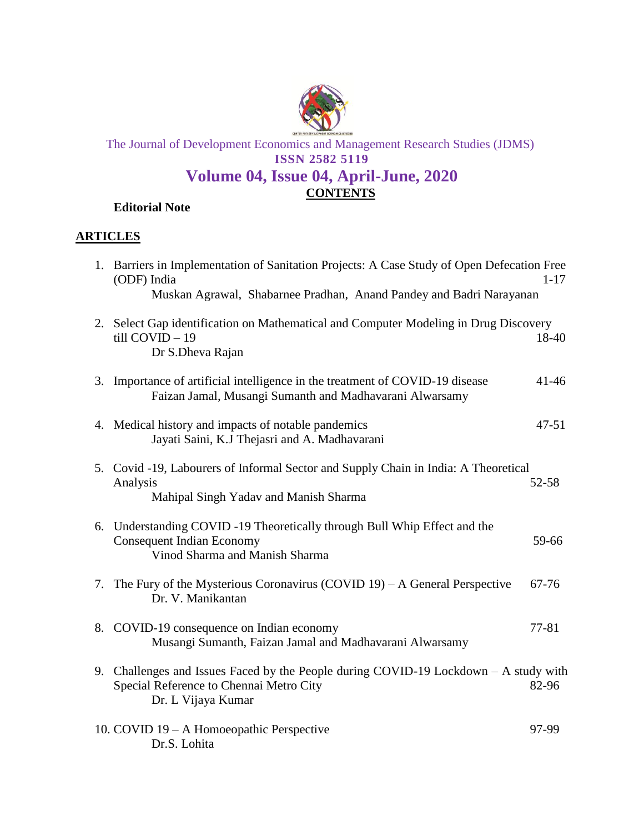

The Journal of Development Economics and Management Research Studies (JDMS) **ISSN 2582 5119**

## **[Volume 04, Issue 04, April-June, 2020](http://www.cdes.org.in/wp-content/uploads/2020/02/Volume-02-Issue-02-October%E2%80%94December-2019.pdf) CONTENTS**

**[Editorial Note](http://www.cdes.org.in/wp-content/uploads/2020/02/Editorial-Note.pdf)**

## **ARTICLES**

| 1. Barriers in Implementation of Sanitation Projects: A Case Study of Open Defecation Free<br>(ODF) India                                               | $1 - 17$  |
|---------------------------------------------------------------------------------------------------------------------------------------------------------|-----------|
| Muskan Agrawal, Shabarnee Pradhan, Anand Pandey and Badri Narayanan                                                                                     |           |
| 2. Select Gap identification on Mathematical and Computer Modeling in Drug Discovery<br>$till$ COVID $-19$<br>Dr S.Dheva Rajan                          | 18-40     |
| 3. Importance of artificial intelligence in the treatment of COVID-19 disease<br>Faizan Jamal, Musangi Sumanth and Madhavarani Alwarsamy                | $41 - 46$ |
| 4. Medical history and impacts of notable pandemics<br>Jayati Saini, K.J Thejasri and A. Madhavarani                                                    | $47 - 51$ |
| 5. Covid -19, Labourers of Informal Sector and Supply Chain in India: A Theoretical<br>Analysis<br>Mahipal Singh Yadav and Manish Sharma                | 52-58     |
| 6. Understanding COVID -19 Theoretically through Bull Whip Effect and the<br><b>Consequent Indian Economy</b><br>Vinod Sharma and Manish Sharma         | 59-66     |
| 7. The Fury of the Mysterious Coronavirus (COVID 19) – A General Perspective<br>Dr. V. Manikantan                                                       | 67-76     |
| 8. COVID-19 consequence on Indian economy<br>Musangi Sumanth, Faizan Jamal and Madhavarani Alwarsamy                                                    | 77-81     |
| 9. Challenges and Issues Faced by the People during COVID-19 Lockdown $- A$ study with<br>Special Reference to Chennai Metro City<br>Dr. L Vijaya Kumar | 82-96     |
| 10. COVID 19 - A Homoeopathic Perspective<br>Dr.S. Lohita                                                                                               | 97-99     |